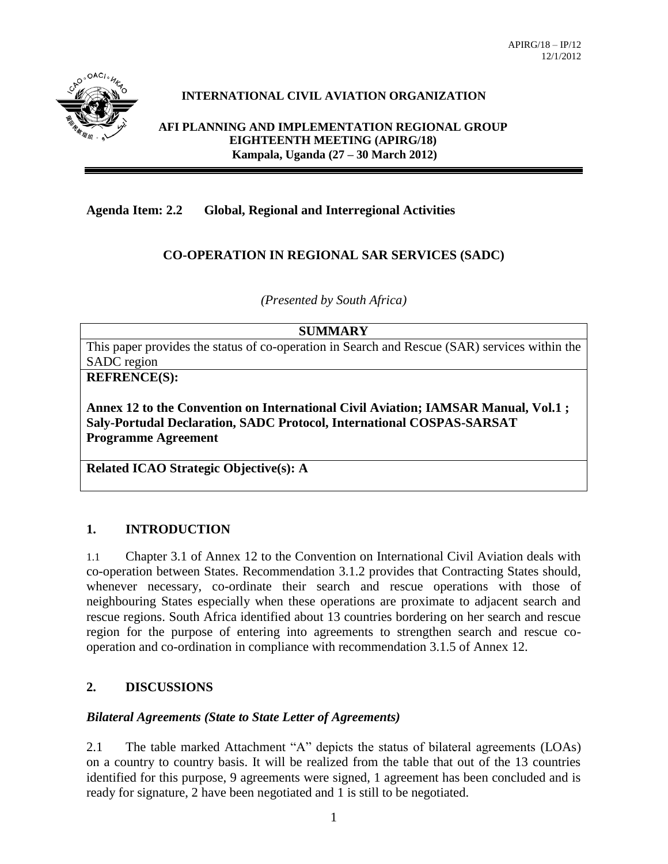

# **INTERNATIONAL CIVIL AVIATION ORGANIZATION**

**AFI PLANNING AND IMPLEMENTATION REGIONAL GROUP EIGHTEENTH MEETING (APIRG/18) Kampala, Uganda (27 – 30 March 2012)**

## **Agenda Item: 2.2 Global, Regional and Interregional Activities**

### **CO-OPERATION IN REGIONAL SAR SERVICES (SADC)**

*(Presented by South Africa)*

#### **SUMMARY**

This paper provides the status of co-operation in Search and Rescue (SAR) services within the SADC region

**REFRENCE(S):** 

**Annex 12 to the Convention on International Civil Aviation; IAMSAR Manual, Vol.1 ; Saly-Portudal Declaration, SADC Protocol, International COSPAS-SARSAT Programme Agreement**

**Related ICAO Strategic Objective(s): A**

#### **1. INTRODUCTION**

1.1 Chapter 3.1 of Annex 12 to the Convention on International Civil Aviation deals with co-operation between States. Recommendation 3.1.2 provides that Contracting States should, whenever necessary, co-ordinate their search and rescue operations with those of neighbouring States especially when these operations are proximate to adjacent search and rescue regions. South Africa identified about 13 countries bordering on her search and rescue region for the purpose of entering into agreements to strengthen search and rescue cooperation and co-ordination in compliance with recommendation 3.1.5 of Annex 12.

# **2. DISCUSSIONS**

#### *Bilateral Agreements (State to State Letter of Agreements)*

2.1 The table marked Attachment "A" depicts the status of bilateral agreements (LOAs) on a country to country basis. It will be realized from the table that out of the 13 countries identified for this purpose, 9 agreements were signed, 1 agreement has been concluded and is ready for signature, 2 have been negotiated and 1 is still to be negotiated.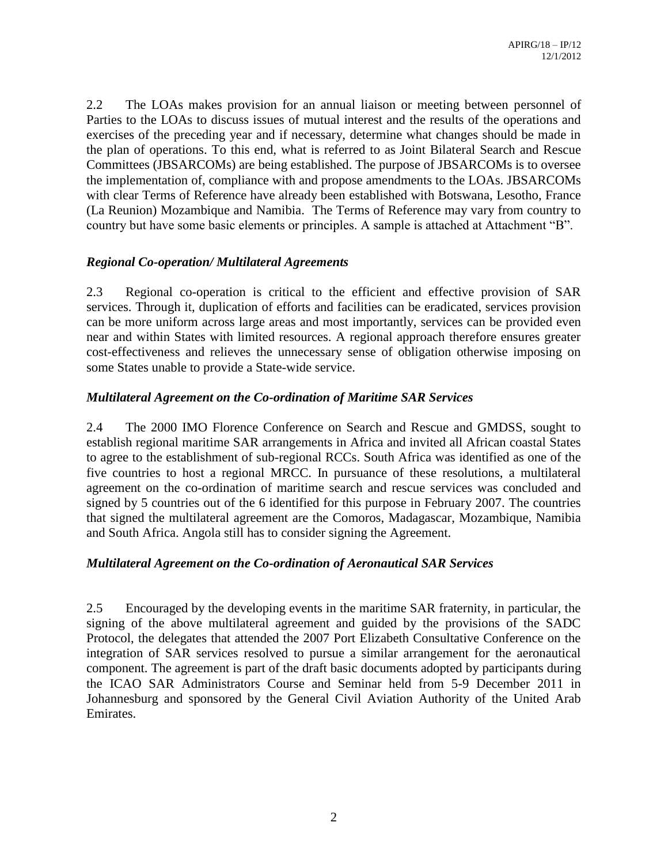2.2 The LOAs makes provision for an annual liaison or meeting between personnel of Parties to the LOAs to discuss issues of mutual interest and the results of the operations and exercises of the preceding year and if necessary, determine what changes should be made in the plan of operations. To this end, what is referred to as Joint Bilateral Search and Rescue Committees (JBSARCOMs) are being established. The purpose of JBSARCOMs is to oversee the implementation of, compliance with and propose amendments to the LOAs. JBSARCOMs with clear Terms of Reference have already been established with Botswana, Lesotho, France (La Reunion) Mozambique and Namibia. The Terms of Reference may vary from country to country but have some basic elements or principles. A sample is attached at Attachment "B".

#### *Regional Co-operation/ Multilateral Agreements*

2.3 Regional co-operation is critical to the efficient and effective provision of SAR services. Through it, duplication of efforts and facilities can be eradicated, services provision can be more uniform across large areas and most importantly, services can be provided even near and within States with limited resources. A regional approach therefore ensures greater cost-effectiveness and relieves the unnecessary sense of obligation otherwise imposing on some States unable to provide a State-wide service.

### *Multilateral Agreement on the Co-ordination of Maritime SAR Services*

2.4 The 2000 IMO Florence Conference on Search and Rescue and GMDSS, sought to establish regional maritime SAR arrangements in Africa and invited all African coastal States to agree to the establishment of sub-regional RCCs. South Africa was identified as one of the five countries to host a regional MRCC. In pursuance of these resolutions, a multilateral agreement on the co-ordination of maritime search and rescue services was concluded and signed by 5 countries out of the 6 identified for this purpose in February 2007. The countries that signed the multilateral agreement are the Comoros, Madagascar, Mozambique, Namibia and South Africa. Angola still has to consider signing the Agreement.

# *Multilateral Agreement on the Co-ordination of Aeronautical SAR Services*

2.5 Encouraged by the developing events in the maritime SAR fraternity, in particular, the signing of the above multilateral agreement and guided by the provisions of the SADC Protocol, the delegates that attended the 2007 Port Elizabeth Consultative Conference on the integration of SAR services resolved to pursue a similar arrangement for the aeronautical component. The agreement is part of the draft basic documents adopted by participants during the ICAO SAR Administrators Course and Seminar held from 5-9 December 2011 in Johannesburg and sponsored by the General Civil Aviation Authority of the United Arab Emirates.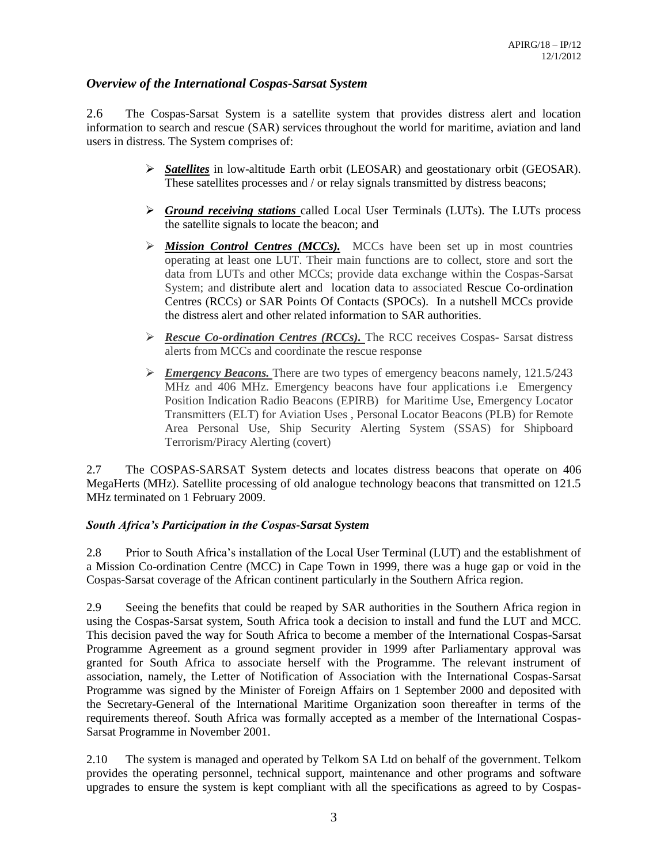### *Overview of the International Cospas-Sarsat System*

2.6 The Cospas-Sarsat System is a satellite system that provides distress alert and location information to search and rescue (SAR) services throughout the world for maritime, aviation and land users in distress. The System comprises of:

- *Satellites* in low-altitude Earth orbit (LEOSAR) and geostationary orbit (GEOSAR). These satellites processes and / or relay signals transmitted by distress beacons;
- *Ground receiving stations* called Local User Terminals (LUTs). The LUTs process the satellite signals to locate the beacon; and
- $\triangleright$  **Mission Control Centres (MCCs).** MCCs have been set up in most countries operating at least one LUT. Their main functions are to collect, store and sort the data from LUTs and other MCCs; provide data exchange within the Cospas-Sarsat System; and [distribute alert and location data t](http://www.cospas-sarsat.org/DescriptionOverview/alertDistributionDetailed.htm)o associated [Rescue Co-ordination](http://www.cospas-sarsat.org/DescriptionOverview/spocDescription.htm)  [Centres \(RCCs\) or SAR Points Of Contacts \(SPOCs\).](http://www.cospas-sarsat.org/DescriptionOverview/spocDescription.htm) In a nutshell MCCs provide the distress alert and other related information to SAR authorities.
- *Rescue Co-ordination Centres (RCCs).* The RCC receives Cospas- Sarsat distress alerts from MCCs and coordinate the rescue response
- $\triangleright$  *Emergency Beacons.* There are two types of emergency beacons namely, 121.5/243 MHz and 406 MHz. Emergency beacons have four applications i.e Emergency Position Indication Radio Beacons (EPIRB) for Maritime Use, Emergency Locator Transmitters (ELT) for Aviation Uses , Personal Locator Beacons (PLB) for Remote Area Personal Use, Ship Security Alerting System (SSAS) for Shipboard Terrorism/Piracy Alerting (covert)

2.7 The COSPAS-SARSAT System detects and locates distress beacons that operate on 406 MegaHerts (MHz). Satellite processing of old analogue technology beacons that transmitted on 121.5 MHz terminated on 1 February 2009.

#### *South Africa's Participation in the Cospas-Sarsat System*

2.8 Prior to South Africa's installation of the Local User Terminal (LUT) and the establishment of a Mission Co-ordination Centre (MCC) in Cape Town in 1999, there was a huge gap or void in the Cospas-Sarsat coverage of the African continent particularly in the Southern Africa region.

2.9 Seeing the benefits that could be reaped by SAR authorities in the Southern Africa region in using the Cospas-Sarsat system, South Africa took a decision to install and fund the LUT and MCC. This decision paved the way for South Africa to become a member of the International Cospas-Sarsat Programme Agreement as a ground segment provider in 1999 after Parliamentary approval was granted for South Africa to associate herself with the Programme. The relevant instrument of association, namely, the Letter of Notification of Association with the International Cospas-Sarsat Programme was signed by the Minister of Foreign Affairs on 1 September 2000 and deposited with the Secretary-General of the International Maritime Organization soon thereafter in terms of the requirements thereof. South Africa was formally accepted as a member of the International Cospas-Sarsat Programme in November 2001.

2.10 The system is managed and operated by Telkom SA Ltd on behalf of the government. Telkom provides the operating personnel, technical support, maintenance and other programs and software upgrades to ensure the system is kept compliant with all the specifications as agreed to by Cospas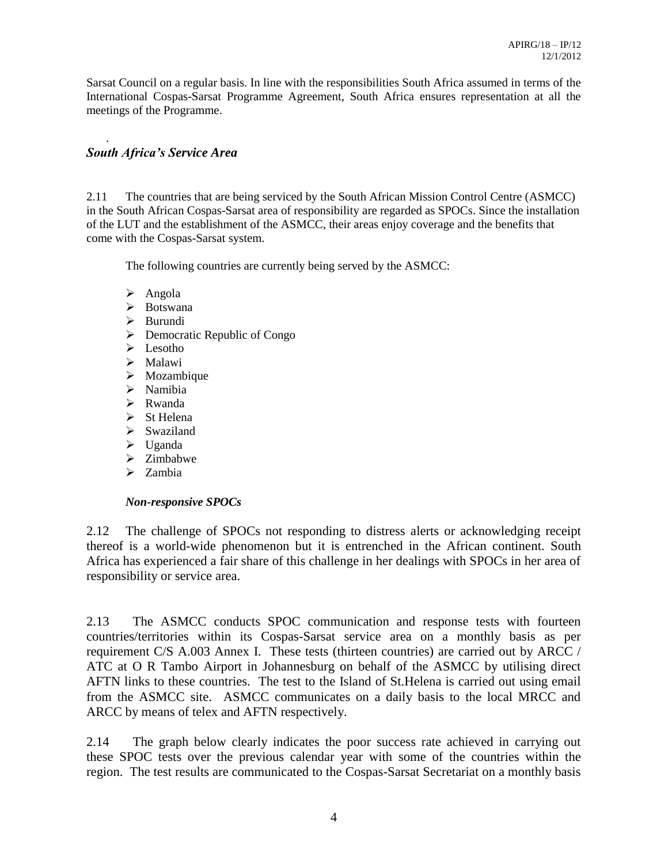Sarsat Council on a regular basis. In line with the responsibilities South Africa assumed in terms of the International Cospas-Sarsat Programme Agreement, South Africa ensures representation at all the meetings of the Programme.

# *South Africa's Service Area*

.

2.11 The countries that are being serviced by the South African Mission Control Centre (ASMCC) in the South African Cospas-Sarsat area of responsibility are regarded as SPOCs. Since the installation of the LUT and the establishment of the ASMCC, their areas enjoy coverage and the benefits that come with the Cospas-Sarsat system.

The following countries are currently being served by the ASMCC:

- $\triangleright$  Angola
- > Botswana
- $\triangleright$  Burundi
- Democratic Republic of Congo
- $\triangleright$  Lesotho
- > Malawi
- $\triangleright$  Mozambique
- > Namibia
- $\triangleright$  Rwanda
- $\triangleright$  St Helena
- > Swaziland
- $\triangleright$  Uganda
- $\triangleright$  Zimbabwe
- $\triangleright$  Zambia

#### *Non-responsive SPOCs*

2.12 The challenge of SPOCs not responding to distress alerts or acknowledging receipt thereof is a world-wide phenomenon but it is entrenched in the African continent. South Africa has experienced a fair share of this challenge in her dealings with SPOCs in her area of responsibility or service area.

2.13 The ASMCC conducts SPOC communication and response tests with fourteen countries/territories within its Cospas-Sarsat service area on a monthly basis as per requirement C/S A.003 Annex I. These tests (thirteen countries) are carried out by ARCC / ATC at O R Tambo Airport in Johannesburg on behalf of the ASMCC by utilising direct AFTN links to these countries. The test to the Island of St.Helena is carried out using email from the ASMCC site. ASMCC communicates on a daily basis to the local MRCC and ARCC by means of telex and AFTN respectively.

2.14 The graph below clearly indicates the poor success rate achieved in carrying out these SPOC tests over the previous calendar year with some of the countries within the region. The test results are communicated to the Cospas-Sarsat Secretariat on a monthly basis